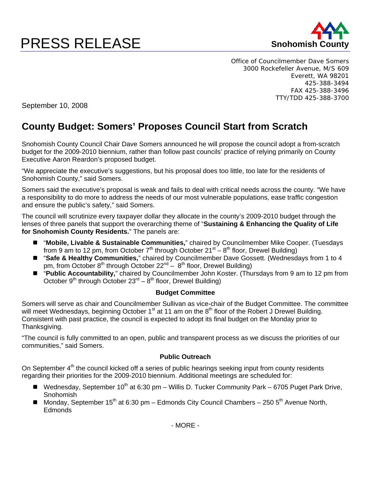## **PRESS RELEASE** Snohomish



Office of Councilmember Dave Somers 3000 Rockefeller Avenue, M/S 609 Everett, WA 98201 425-388-3494 FAX 425-388-3496 TTY/TDD 425-388-3700

September 10, 2008

## **County Budget: Somers' Proposes Council Start from Scratch**

Snohomish County Council Chair Dave Somers announced he will propose the council adopt a from-scratch budget for the 2009-2010 biennium, rather than follow past councils' practice of relying primarily on County Executive Aaron Reardon's proposed budget.

"We appreciate the executive's suggestions, but his proposal does too little, too late for the residents of Snohomish County," said Somers.

Somers said the executive's proposal is weak and fails to deal with critical needs across the county. "We have a responsibility to do more to address the needs of our most vulnerable populations, ease traffic congestion and ensure the public's safety," said Somers.

The council will scrutinize every taxpayer dollar they allocate in the county's 2009-2010 budget through the lenses of three panels that support the overarching theme of "**Sustaining & Enhancing the Quality of Life for Snohomish County Residents.**" The panels are:

- "**Mobile, Livable & Sustainable Communities,**" chaired by Councilmember Mike Cooper. (Tuesdays from 9 am to 12 pm, from October  $7<sup>th</sup>$  through October 21<sup>st</sup> – 8<sup>th</sup> floor, Drewel Building)
- "Safe & Healthy Communities," chaired by Councilmember Dave Gossett. (Wednesdays from 1 to 4 pm, from October  $8<sup>th</sup>$  through October  $22<sup>nd</sup> - 8<sup>th</sup>$  floor, Drewel Building)
- "Public Accountability," chaired by Councilmember John Koster. (Thursdays from 9 am to 12 pm from October 9<sup>th</sup> through October  $23^{rd} - 8^{th}$  floor, Drewel Building)

## **Budget Committee**

Somers will serve as chair and Councilmember Sullivan as vice-chair of the Budget Committee. The committee will meet Wednesdays, beginning October  $1<sup>st</sup>$  at 11 am on the  $8<sup>th</sup>$  floor of the Robert J Drewel Building. Consistent with past practice, the council is expected to adopt its final budget on the Monday prior to Thanksgiving.

"The council is fully committed to an open, public and transparent process as we discuss the priorities of our communities," said Somers.

## **Public Outreach**

On September 4<sup>th</sup> the council kicked off a series of public hearings seeking input from county residents regarding their priorities for the 2009-2010 biennium. Additional meetings are scheduled for:

- Wednesday, September 10<sup>th</sup> at 6:30 pm Willis D. Tucker Community Park 6705 Puget Park Drive, Snohomish
- Monday, September 15<sup>th</sup> at 6:30 pm Edmonds City Council Chambers 250 5<sup>th</sup> Avenue North, Edmonds